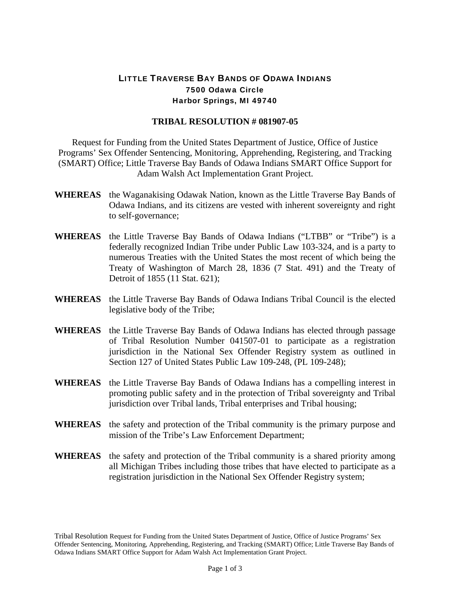## LITTLE TRAVERSE BAY BANDS OF ODAWA INDIANS 7500 Odawa Circle Harbor Springs, MI 49740

## **TRIBAL RESOLUTION # 081907-05**

Request for Funding from the United States Department of Justice, Office of Justice Programs' Sex Offender Sentencing, Monitoring, Apprehending, Registering, and Tracking (SMART) Office; Little Traverse Bay Bands of Odawa Indians SMART Office Support for Adam Walsh Act Implementation Grant Project.

- **WHEREAS** the Waganakising Odawak Nation, known as the Little Traverse Bay Bands of Odawa Indians, and its citizens are vested with inherent sovereignty and right to self-governance;
- **WHEREAS** the Little Traverse Bay Bands of Odawa Indians ("LTBB" or "Tribe") is a federally recognized Indian Tribe under Public Law 103-324, and is a party to numerous Treaties with the United States the most recent of which being the Treaty of Washington of March 28, 1836 (7 Stat. 491) and the Treaty of Detroit of 1855 (11 Stat. 621);
- **WHEREAS** the Little Traverse Bay Bands of Odawa Indians Tribal Council is the elected legislative body of the Tribe;
- **WHEREAS** the Little Traverse Bay Bands of Odawa Indians has elected through passage of Tribal Resolution Number 041507-01 to participate as a registration jurisdiction in the National Sex Offender Registry system as outlined in Section 127 of United States Public Law 109-248, (PL 109-248);
- **WHEREAS** the Little Traverse Bay Bands of Odawa Indians has a compelling interest in promoting public safety and in the protection of Tribal sovereignty and Tribal jurisdiction over Tribal lands, Tribal enterprises and Tribal housing;
- **WHEREAS** the safety and protection of the Tribal community is the primary purpose and mission of the Tribe's Law Enforcement Department;
- **WHEREAS** the safety and protection of the Tribal community is a shared priority among all Michigan Tribes including those tribes that have elected to participate as a registration jurisdiction in the National Sex Offender Registry system;

Tribal Resolution Request for Funding from the United States Department of Justice, Office of Justice Programs' Sex Offender Sentencing, Monitoring, Apprehending, Registering, and Tracking (SMART) Office; Little Traverse Bay Bands of Odawa Indians SMART Office Support for Adam Walsh Act Implementation Grant Project.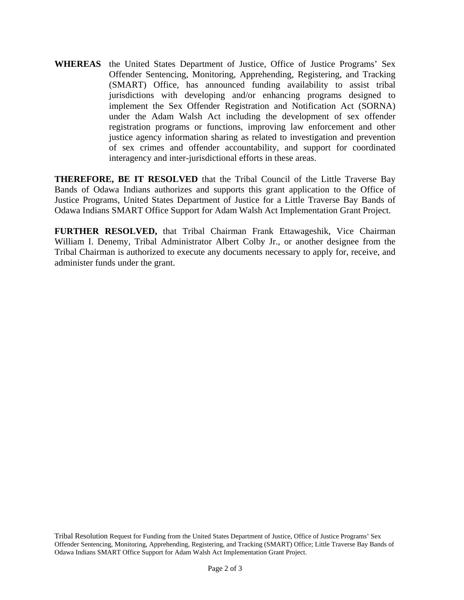**WHEREAS** the United States Department of Justice, Office of Justice Programs' Sex Offender Sentencing, Monitoring, Apprehending, Registering, and Tracking (SMART) Office, has announced funding availability to assist tribal jurisdictions with developing and/or enhancing programs designed to implement the Sex Offender Registration and Notification Act (SORNA) under the Adam Walsh Act including the development of sex offender registration programs or functions, improving law enforcement and other justice agency information sharing as related to investigation and prevention of sex crimes and offender accountability, and support for coordinated interagency and inter-jurisdictional efforts in these areas.

**THEREFORE, BE IT RESOLVED** that the Tribal Council of the Little Traverse Bay Bands of Odawa Indians authorizes and supports this grant application to the Office of Justice Programs, United States Department of Justice for a Little Traverse Bay Bands of Odawa Indians SMART Office Support for Adam Walsh Act Implementation Grant Project.

**FURTHER RESOLVED,** that Tribal Chairman Frank Ettawageshik, Vice Chairman William I. Denemy, Tribal Administrator Albert Colby Jr., or another designee from the Tribal Chairman is authorized to execute any documents necessary to apply for, receive, and administer funds under the grant.

Tribal Resolution Request for Funding from the United States Department of Justice, Office of Justice Programs' Sex Offender Sentencing, Monitoring, Apprehending, Registering, and Tracking (SMART) Office; Little Traverse Bay Bands of Odawa Indians SMART Office Support for Adam Walsh Act Implementation Grant Project.